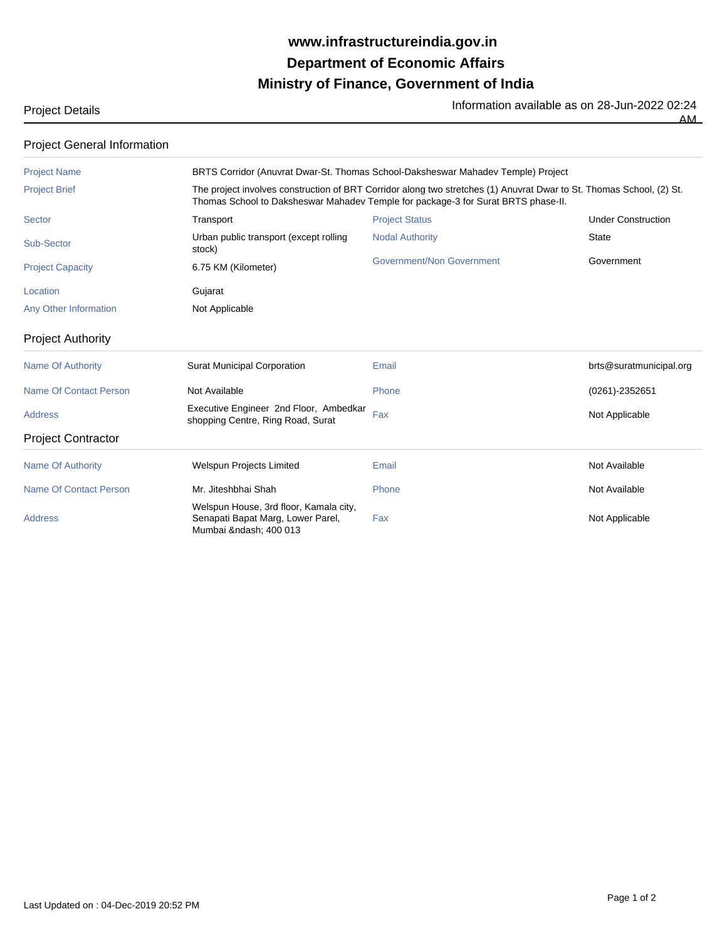## **Ministry of Finance, Government of India Department of Economic Affairs www.infrastructureindia.gov.in**

| <b>Project Details</b> | Information available as on 28-Jun-2022 02:24 |
|------------------------|-----------------------------------------------|
|                        | AM.                                           |

| <b>Project General Information</b> |                                                                                                                                                                                                           |                           |                           |  |  |  |
|------------------------------------|-----------------------------------------------------------------------------------------------------------------------------------------------------------------------------------------------------------|---------------------------|---------------------------|--|--|--|
| <b>Project Name</b>                | BRTS Corridor (Anuvrat Dwar-St. Thomas School-Daksheswar Mahadev Temple) Project                                                                                                                          |                           |                           |  |  |  |
| <b>Project Brief</b>               | The project involves construction of BRT Corridor along two stretches (1) Anuvrat Dwar to St. Thomas School, (2) St.<br>Thomas School to Daksheswar Mahadev Temple for package-3 for Surat BRTS phase-II. |                           |                           |  |  |  |
| Sector                             | Transport                                                                                                                                                                                                 | <b>Project Status</b>     | <b>Under Construction</b> |  |  |  |
| Sub-Sector                         | Urban public transport (except rolling<br>stock)                                                                                                                                                          | <b>Nodal Authority</b>    | <b>State</b>              |  |  |  |
| <b>Project Capacity</b>            | 6.75 KM (Kilometer)                                                                                                                                                                                       | Government/Non Government | Government                |  |  |  |
| Location                           | Gujarat                                                                                                                                                                                                   |                           |                           |  |  |  |
| Any Other Information              | Not Applicable                                                                                                                                                                                            |                           |                           |  |  |  |
| <b>Project Authority</b>           |                                                                                                                                                                                                           |                           |                           |  |  |  |
| <b>Name Of Authority</b>           | <b>Surat Municipal Corporation</b>                                                                                                                                                                        | Email                     | brts@suratmunicipal.org   |  |  |  |
| Name Of Contact Person             | Not Available                                                                                                                                                                                             | Phone                     | (0261)-2352651            |  |  |  |
| <b>Address</b>                     | Executive Engineer 2nd Floor, Ambedkar<br>shopping Centre, Ring Road, Surat                                                                                                                               | Fax                       | Not Applicable            |  |  |  |
| <b>Project Contractor</b>          |                                                                                                                                                                                                           |                           |                           |  |  |  |
| <b>Name Of Authority</b>           | <b>Welspun Projects Limited</b>                                                                                                                                                                           | Email                     | Not Available             |  |  |  |
| <b>Name Of Contact Person</b>      | Mr. Jiteshbhai Shah                                                                                                                                                                                       | Phone                     | Not Available             |  |  |  |
| <b>Address</b>                     | Welspun House, 3rd floor, Kamala city,<br>Senapati Bapat Marg, Lower Parel,<br>Mumbai – 400 013                                                                                                           | Fax                       | Not Applicable            |  |  |  |